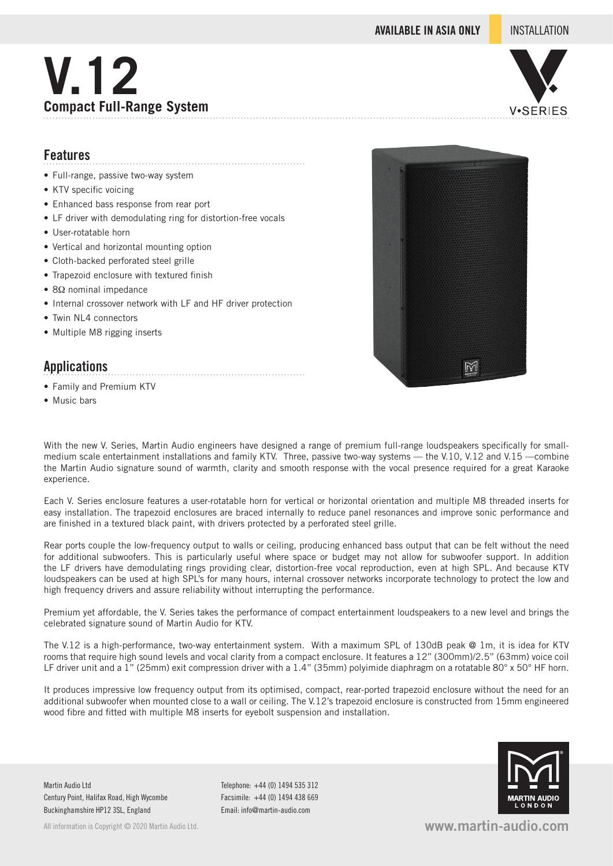**AVAILABLE IN ASIA ONLY** INSTALLATION





## **Features**

- Full-range, passive two-way system
- KTV specific voicing
- Enhanced bass response from rear port
- LF driver with demodulating ring for distortion-free vocals

- User-rotatable horn
- Vertical and horizontal mounting option
- Cloth-backed perforated steel grille
- Trapezoid enclosure with textured finish
- 8Ω nominal impedance
- Internal crossover network with LF and HF driver protection
- Twin NL4 connectors
- Multiple M8 rigging inserts

# **Applications**

- Family and Premium KTV
- Music bars



With the new V. Series, Martin Audio engineers have designed a range of premium full-range loudspeakers specifically for smallmedium scale entertainment installations and family KTV. Three, passive two-way systems — the V.10, V.12 and V.15 —combine the Martin Audio signature sound of warmth, clarity and smooth response with the vocal presence required for a great Karaoke experience.

Each V. Series enclosure features a user-rotatable horn for vertical or horizontal orientation and multiple M8 threaded inserts for easy installation. The trapezoid enclosures are braced internally to reduce panel resonances and improve sonic performance and are finished in a textured black paint, with drivers protected by a perforated steel grille.

Rear ports couple the low-frequency output to walls or ceiling, producing enhanced bass output that can be felt without the need for additional subwoofers. This is particularly useful where space or budget may not allow for subwoofer support. In addition the LF drivers have demodulating rings providing clear, distortion-free vocal reproduction, even at high SPL. And because KTV loudspeakers can be used at high SPL's for many hours, internal crossover networks incorporate technology to protect the low and high frequency drivers and assure reliability without interrupting the performance.

Premium yet affordable, the V. Series takes the performance of compact entertainment loudspeakers to a new level and brings the celebrated signature sound of Martin Audio for KTV.

The V.12 is a high-performance, two-way entertainment system. With a maximum SPL of 130dB peak @ 1m, it is idea for KTV rooms that require high sound levels and vocal clarity from a compact enclosure. It features a 12" (300mm)/2.5" (63mm) voice coil LF driver unit and a 1" (25mm) exit compression driver with a 1.4" (35mm) polyimide diaphragm on a rotatable 80° x 50° HF horn.

It produces impressive low frequency output from its optimised, compact, rear-ported trapezoid enclosure without the need for an additional subwoofer when mounted close to a wall or ceiling. The V.12's trapezoid enclosure is constructed from 15mm engineered wood fibre and fitted with multiple M8 inserts for eyebolt suspension and installation.

Martin Audio Ltd Century Point, Halifax Road, High Wycombe Buckinghamshire HP12 3SL, England

All information is Copyright © 2020 Martin Audio Ltd.

Telephone: +44 (0) 1494 535 312 Facsimile: +44 (0) 1494 438 669 Email: info@martin-audio.com



**www.martin-audio.com**